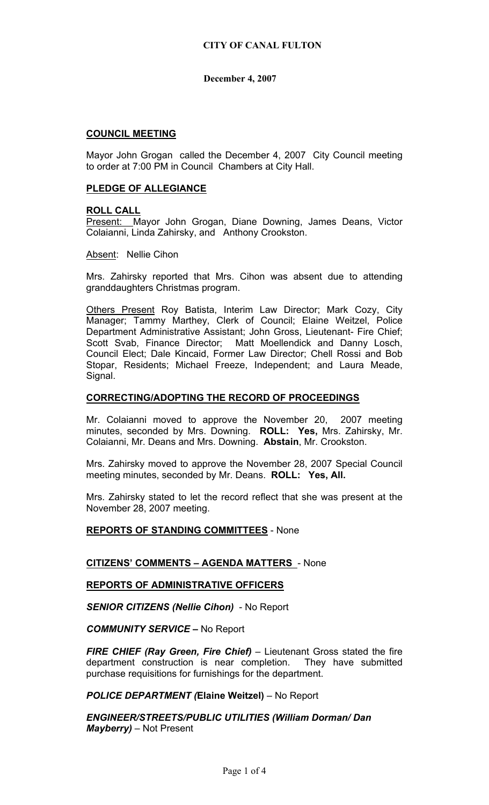## **COUNCIL MEETING**

Mayor John Grogan called the December 4, 2007 City Council meeting to order at 7:00 PM in Council Chambers at City Hall.

### **PLEDGE OF ALLEGIANCE**

#### **ROLL CALL**

Present: Mayor John Grogan, Diane Downing, James Deans, Victor Colaianni, Linda Zahirsky, and Anthony Crookston.

Absent: Nellie Cihon

Mrs. Zahirsky reported that Mrs. Cihon was absent due to attending granddaughters Christmas program.

Others Present Roy Batista, Interim Law Director; Mark Cozy, City Manager; Tammy Marthey, Clerk of Council; Elaine Weitzel, Police Department Administrative Assistant; John Gross, Lieutenant- Fire Chief; Scott Svab, Finance Director; Matt Moellendick and Danny Losch, Council Elect; Dale Kincaid, Former Law Director; Chell Rossi and Bob Stopar, Residents; Michael Freeze, Independent; and Laura Meade, Signal.

### **CORRECTING/ADOPTING THE RECORD OF PROCEEDINGS**

Mr. Colaianni moved to approve the November 20, 2007 meeting minutes, seconded by Mrs. Downing. **ROLL: Yes,** Mrs. Zahirsky, Mr. Colaianni, Mr. Deans and Mrs. Downing. **Abstain**, Mr. Crookston.

Mrs. Zahirsky moved to approve the November 28, 2007 Special Council meeting minutes, seconded by Mr. Deans. **ROLL: Yes, All.** 

Mrs. Zahirsky stated to let the record reflect that she was present at the November 28, 2007 meeting.

**REPORTS OF STANDING COMMITTEES** - None

# **CITIZENS' COMMENTS – AGENDA MATTERS** - None

# **REPORTS OF ADMINISTRATIVE OFFICERS**

*SENIOR CITIZENS (Nellie Cihon)* - No Report

*COMMUNITY SERVICE –* No Report

*FIRE CHIEF (Ray Green, Fire Chief)* – Lieutenant Gross stated the fire department construction is near completion. They have submitted purchase requisitions for furnishings for the department.

*POLICE DEPARTMENT (***Elaine Weitzel)** – No Report

*ENGINEER/STREETS/PUBLIC UTILITIES (William Dorman/ Dan Mayberry)* – Not Present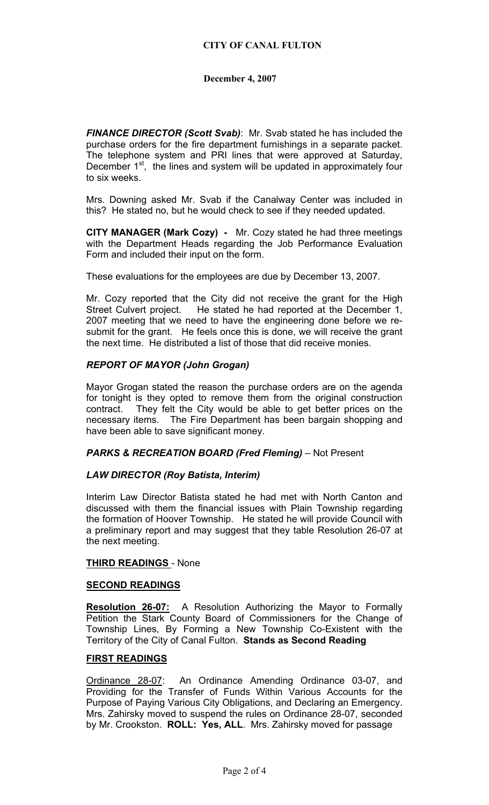*FINANCE DIRECTOR (Scott Svab)*: Mr. Svab stated he has included the purchase orders for the fire department furnishings in a separate packet. The telephone system and PRI lines that were approved at Saturday, December 1<sup>st</sup>, the lines and system will be updated in approximately four to six weeks.

Mrs. Downing asked Mr. Svab if the Canalway Center was included in this? He stated no, but he would check to see if they needed updated.

**CITY MANAGER (Mark Cozy) -** Mr. Cozy stated he had three meetings with the Department Heads regarding the Job Performance Evaluation Form and included their input on the form.

These evaluations for the employees are due by December 13, 2007.

Mr. Cozy reported that the City did not receive the grant for the High Street Culvert project. He stated he had reported at the December 1, 2007 meeting that we need to have the engineering done before we resubmit for the grant. He feels once this is done, we will receive the grant the next time. He distributed a list of those that did receive monies.

#### *REPORT OF MAYOR (John Grogan)*

Mayor Grogan stated the reason the purchase orders are on the agenda for tonight is they opted to remove them from the original construction contract. They felt the City would be able to get better prices on the necessary items. The Fire Department has been bargain shopping and have been able to save significant money.

#### *PARKS & RECREATION BOARD (Fred Fleming)* – Not Present

#### *LAW DIRECTOR (Roy Batista, Interim)*

Interim Law Director Batista stated he had met with North Canton and discussed with them the financial issues with Plain Township regarding the formation of Hoover Township. He stated he will provide Council with a preliminary report and may suggest that they table Resolution 26-07 at the next meeting.

#### **THIRD READINGS** - None

#### **SECOND READINGS**

**Resolution 26-07:** A Resolution Authorizing the Mayor to Formally Petition the Stark County Board of Commissioners for the Change of Township Lines, By Forming a New Township Co-Existent with the Territory of the City of Canal Fulton. **Stands as Second Reading**

#### **FIRST READINGS**

Ordinance 28-07: An Ordinance Amending Ordinance 03-07, and Providing for the Transfer of Funds Within Various Accounts for the Purpose of Paying Various City Obligations, and Declaring an Emergency. Mrs. Zahirsky moved to suspend the rules on Ordinance 28-07, seconded by Mr. Crookston. **ROLL: Yes, ALL**. Mrs. Zahirsky moved for passage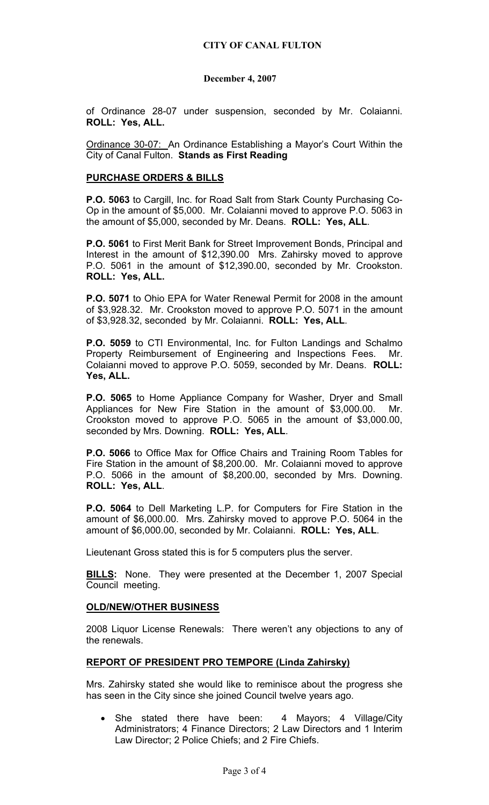of Ordinance 28-07 under suspension, seconded by Mr. Colaianni. **ROLL: Yes, ALL.** 

Ordinance 30-07: An Ordinance Establishing a Mayor's Court Within the City of Canal Fulton. **Stands as First Reading**

### **PURCHASE ORDERS & BILLS**

**P.O. 5063** to Cargill, Inc. for Road Salt from Stark County Purchasing Co-Op in the amount of \$5,000. Mr. Colaianni moved to approve P.O. 5063 in the amount of \$5,000, seconded by Mr. Deans. **ROLL: Yes, ALL**.

**P.O. 5061** to First Merit Bank for Street Improvement Bonds, Principal and Interest in the amount of \$12,390.00 Mrs. Zahirsky moved to approve P.O. 5061 in the amount of \$12,390.00, seconded by Mr. Crookston. **ROLL: Yes, ALL.** 

**P.O. 5071** to Ohio EPA for Water Renewal Permit for 2008 in the amount of \$3,928.32. Mr. Crookston moved to approve P.O. 5071 in the amount of \$3,928.32, seconded by Mr. Colaianni. **ROLL: Yes, ALL**.

**P.O. 5059** to CTI Environmental, Inc. for Fulton Landings and Schalmo Property Reimbursement of Engineering and Inspections Fees. Mr. Colaianni moved to approve P.O. 5059, seconded by Mr. Deans. **ROLL: Yes, ALL.** 

**P.O. 5065** to Home Appliance Company for Washer, Dryer and Small Appliances for New Fire Station in the amount of \$3,000.00. Mr. Crookston moved to approve P.O. 5065 in the amount of \$3,000.00, seconded by Mrs. Downing. **ROLL: Yes, ALL**.

**P.O. 5066** to Office Max for Office Chairs and Training Room Tables for Fire Station in the amount of \$8,200.00. Mr. Colaianni moved to approve P.O. 5066 in the amount of \$8,200.00, seconded by Mrs. Downing. **ROLL: Yes, ALL**.

**P.O. 5064** to Dell Marketing L.P. for Computers for Fire Station in the amount of \$6,000.00. Mrs. Zahirsky moved to approve P.O. 5064 in the amount of \$6,000.00, seconded by Mr. Colaianni. **ROLL: Yes, ALL**.

Lieutenant Gross stated this is for 5 computers plus the server.

**BILLS:** None. They were presented at the December 1, 2007 Special Council meeting.

# **OLD/NEW/OTHER BUSINESS**

2008 Liquor License Renewals: There weren't any objections to any of the renewals.

# **REPORT OF PRESIDENT PRO TEMPORE (Linda Zahirsky)**

Mrs. Zahirsky stated she would like to reminisce about the progress she has seen in the City since she joined Council twelve years ago.

She stated there have been: 4 Mayors; 4 Village/City Administrators; 4 Finance Directors; 2 Law Directors and 1 Interim Law Director; 2 Police Chiefs; and 2 Fire Chiefs.